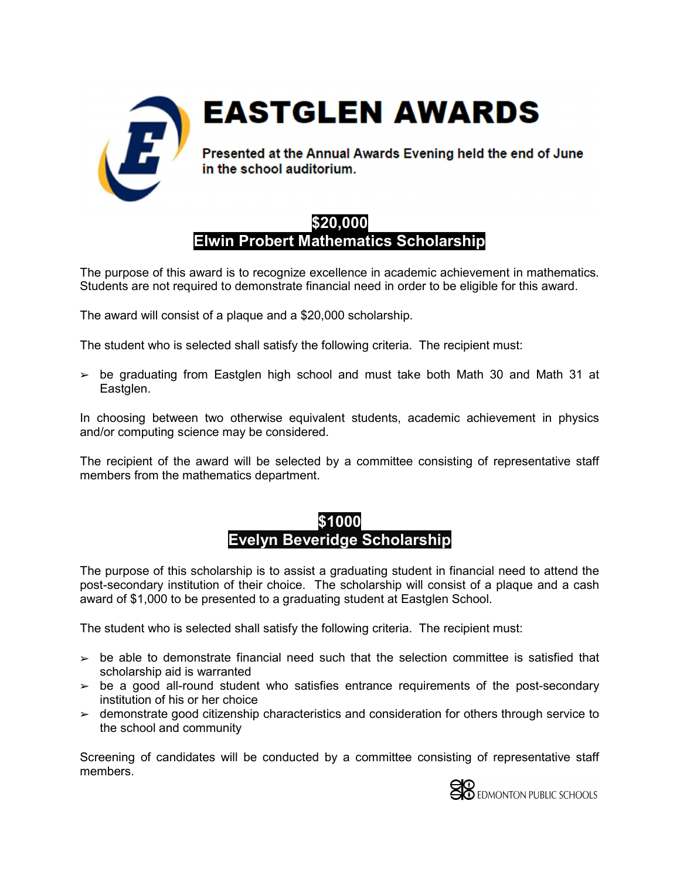

**EASTGLEN AWARDS** 

Presented at the Annual Awards Evening held the end of June in the school auditorium.

### \$20,000 Elwin Probert Mathematics Scholarship

The purpose of this award is to recognize excellence in academic achievement in mathematics. Students are not required to demonstrate financial need in order to be eligible for this award.

The award will consist of a plaque and a \$20,000 scholarship.

The student who is selected shall satisfy the following criteria. The recipient must:

 $\ge$  be graduating from Eastglen high school and must take both Math 30 and Math 31 at Eastglen.

In choosing between two otherwise equivalent students, academic achievement in physics and/or computing science may be considered.

The recipient of the award will be selected by a committee consisting of representative staff members from the mathematics department.

#### \$1000 Evelyn Beveridge Scholarship

The purpose of this scholarship is to assist a graduating student in financial need to attend the post-secondary institution of their choice. The scholarship will consist of a plaque and a cash award of \$1,000 to be presented to a graduating student at Eastglen School.

The student who is selected shall satisfy the following criteria. The recipient must:

- $\geq$  be able to demonstrate financial need such that the selection committee is satisfied that scholarship aid is warranted
- $\ge$  be a good all-round student who satisfies entrance requirements of the post-secondary institution of his or her choice
- ➢ demonstrate good citizenship characteristics and consideration for others through service to the school and community

Screening of candidates will be conducted by a committee consisting of representative staff members.

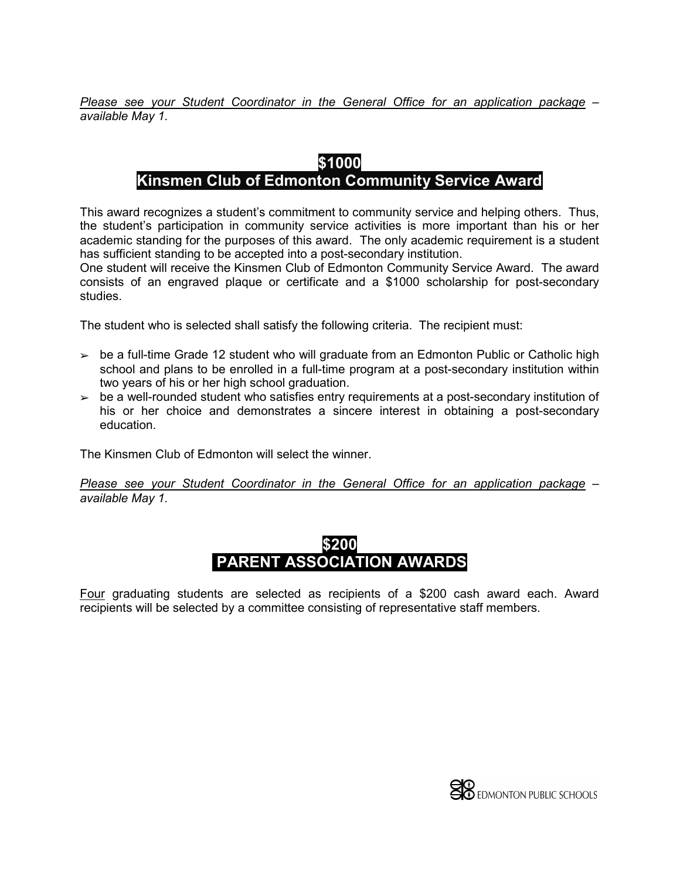Please see your Student Coordinator in the General Office for an application package – available May 1.

# \$1000

# Kinsmen Club of Edmonton Community Service Award

This award recognizes a student's commitment to community service and helping others. Thus, the student's participation in community service activities is more important than his or her academic standing for the purposes of this award. The only academic requirement is a student has sufficient standing to be accepted into a post-secondary institution.

One student will receive the Kinsmen Club of Edmonton Community Service Award. The award consists of an engraved plaque or certificate and a \$1000 scholarship for post-secondary studies.

The student who is selected shall satisfy the following criteria. The recipient must:

- $\geq$  be a full-time Grade 12 student who will graduate from an Edmonton Public or Catholic high school and plans to be enrolled in a full-time program at a post-secondary institution within two years of his or her high school graduation.
- $\geq$  be a well-rounded student who satisfies entry requirements at a post-secondary institution of his or her choice and demonstrates a sincere interest in obtaining a post-secondary education.

The Kinsmen Club of Edmonton will select the winner.

Please see your Student Coordinator in the General Office for an application package – available May 1.



Four graduating students are selected as recipients of a \$200 cash award each. Award recipients will be selected by a committee consisting of representative staff members.